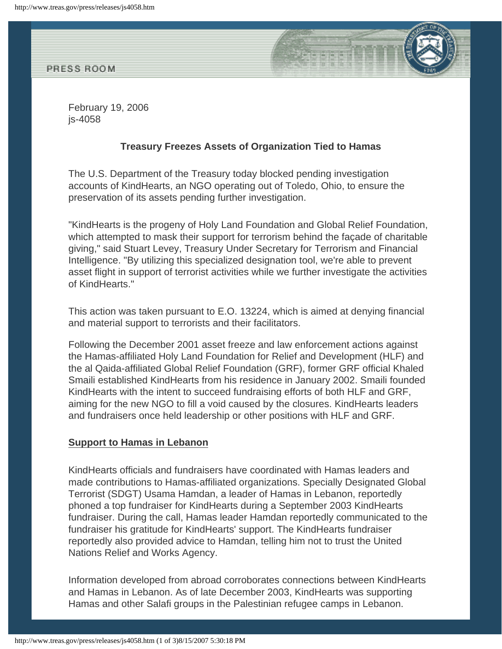

February 19, 2006 js-4058

## **Treasury Freezes Assets of Organization Tied to Hamas**

The U.S. Department of the Treasury today blocked pending investigation accounts of KindHearts, an NGO operating out of Toledo, Ohio, to ensure the preservation of its assets pending further investigation.

"KindHearts is the progeny of Holy Land Foundation and Global Relief Foundation, which attempted to mask their support for terrorism behind the façade of charitable giving," said Stuart Levey, Treasury Under Secretary for Terrorism and Financial Intelligence. "By utilizing this specialized designation tool, we're able to prevent asset flight in support of terrorist activities while we further investigate the activities of KindHearts."

This action was taken pursuant to E.O. 13224, which is aimed at denying financial and material support to terrorists and their facilitators.

Following the December 2001 asset freeze and law enforcement actions against the Hamas-affiliated Holy Land Foundation for Relief and Development (HLF) and the al Qaida-affiliated Global Relief Foundation (GRF), former GRF official Khaled Smaili established KindHearts from his residence in January 2002. Smaili founded KindHearts with the intent to succeed fundraising efforts of both HLF and GRF, aiming for the new NGO to fill a void caused by the closures. KindHearts leaders and fundraisers once held leadership or other positions with HLF and GRF.

## **Support to Hamas in Lebanon**

KindHearts officials and fundraisers have coordinated with Hamas leaders and made contributions to Hamas-affiliated organizations. Specially Designated Global Terrorist (SDGT) Usama Hamdan, a leader of Hamas in Lebanon, reportedly phoned a top fundraiser for KindHearts during a September 2003 KindHearts fundraiser. During the call, Hamas leader Hamdan reportedly communicated to the fundraiser his gratitude for KindHearts' support. The KindHearts fundraiser reportedly also provided advice to Hamdan, telling him not to trust the United Nations Relief and Works Agency.

Information developed from abroad corroborates connections between KindHearts and Hamas in Lebanon. As of late December 2003, KindHearts was supporting Hamas and other Salafi groups in the Palestinian refugee camps in Lebanon.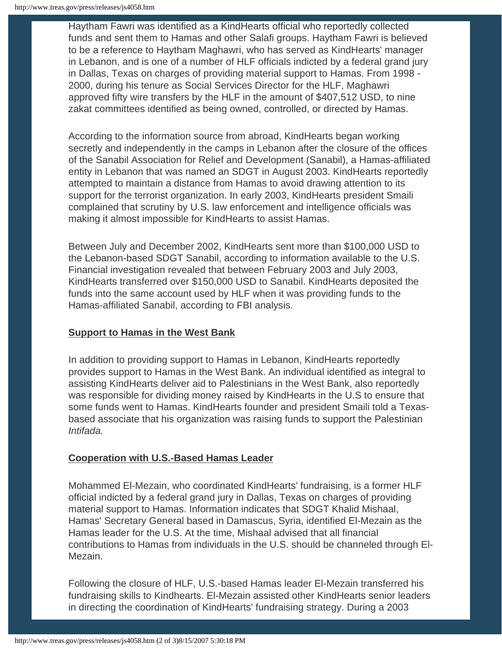Haytham Fawri was identified as a KindHearts official who reportedly collected funds and sent them to Hamas and other Salafi groups. Haytham Fawri is believed to be a reference to Haytham Maghawri, who has served as KindHearts' manager in Lebanon, and is one of a number of HLF officials indicted by a federal grand jury in Dallas, Texas on charges of providing material support to Hamas. From 1998 - 2000, during his tenure as Social Services Director for the HLF, Maghawri approved fifty wire transfers by the HLF in the amount of \$407,512 USD, to nine zakat committees identified as being owned, controlled, or directed by Hamas.

According to the information source from abroad, KindHearts began working secretly and independently in the camps in Lebanon after the closure of the offices of the Sanabil Association for Relief and Development (Sanabil), a Hamas-affiliated entity in Lebanon that was named an SDGT in August 2003. KindHearts reportedly attempted to maintain a distance from Hamas to avoid drawing attention to its support for the terrorist organization. In early 2003, KindHearts president Smaili complained that scrutiny by U.S. law enforcement and intelligence officials was making it almost impossible for KindHearts to assist Hamas.

Between July and December 2002, KindHearts sent more than \$100,000 USD to the Lebanon-based SDGT Sanabil, according to information available to the U.S. Financial investigation revealed that between February 2003 and July 2003, KindHearts transferred over \$150,000 USD to Sanabil. KindHearts deposited the funds into the same account used by HLF when it was providing funds to the Hamas-affiliated Sanabil, according to FBI analysis.

## **Support to Hamas in the West Bank**

In addition to providing support to Hamas in Lebanon, KindHearts reportedly provides support to Hamas in the West Bank. An individual identified as integral to assisting KindHearts deliver aid to Palestinians in the West Bank, also reportedly was responsible for dividing money raised by KindHearts in the U.S to ensure that some funds went to Hamas. KindHearts founder and president Smaili told a Texasbased associate that his organization was raising funds to support the Palestinian *Intifada.*

## **Cooperation with U.S.-Based Hamas Leader**

Mohammed El-Mezain, who coordinated KindHearts' fundraising, is a former HLF official indicted by a federal grand jury in Dallas, Texas on charges of providing material support to Hamas. Information indicates that SDGT Khalid Mishaal, Hamas' Secretary General based in Damascus, Syria, identified El-Mezain as the Hamas leader for the U.S. At the time, Mishaal advised that all financial contributions to Hamas from individuals in the U.S. should be channeled through El-Mezain.

Following the closure of HLF, U.S.-based Hamas leader El-Mezain transferred his fundraising skills to Kindhearts. El-Mezain assisted other KindHearts senior leaders in directing the coordination of KindHearts' fundraising strategy. During a 2003